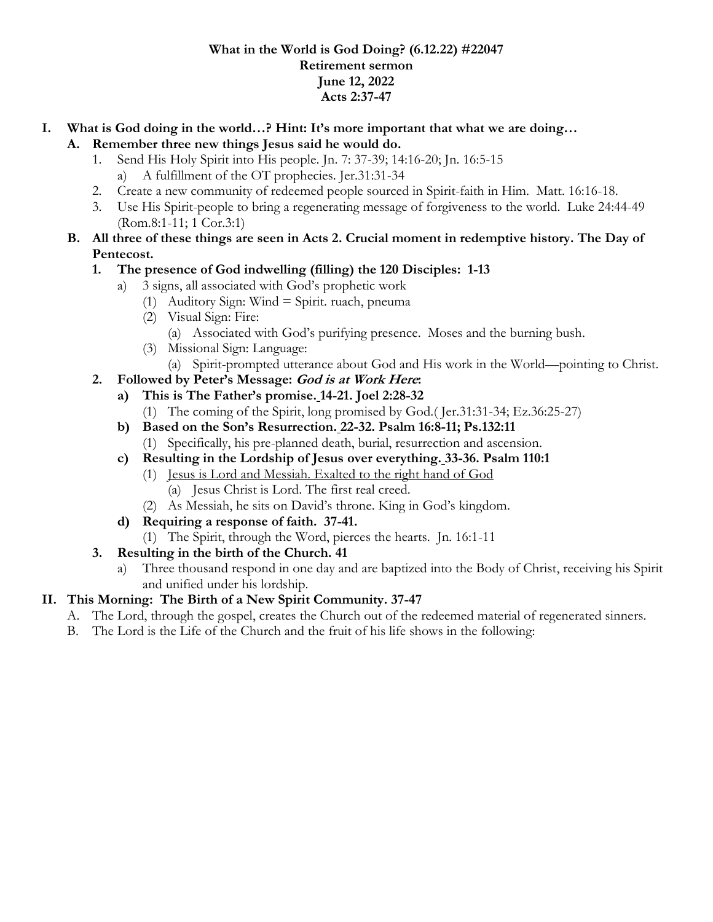#### **What in the World is God Doing? (6.12.22) #22047 Retirement sermon June 12, 2022 Acts 2:37-47**

# **I. What is God doing in the world…? Hint: It's more important that what we are doing…**

- **A. Remember three new things Jesus said he would do.**
	- 1. Send His Holy Spirit into His people. Jn. 7: 37-39; 14:16-20; Jn. 16:5-15
		- a) A fulfillment of the OT prophecies. Jer.31:31-34
	- 2. Create a new community of redeemed people sourced in Spirit-faith in Him. Matt. 16:16-18.
	- 3. Use His Spirit-people to bring a regenerating message of forgiveness to the world. Luke 24:44-49 (Rom.8:1-11; 1 Cor.3:1)

#### **B. All three of these things are seen in Acts 2. Crucial moment in redemptive history. The Day of Pentecost.**

### **1. The presence of God indwelling (filling) the 120 Disciples: 1-13**

- a) 3 signs, all associated with God's prophetic work
	- (1) Auditory Sign: Wind = Spirit. ruach, pneuma
	- (2) Visual Sign: Fire:
		- (a) Associated with God's purifying presence. Moses and the burning bush.
	- (3) Missional Sign: Language:
	- (a) Spirit-prompted utterance about God and His work in the World—pointing to Christ.
- **2. Followed by Peter's Message: God is at Work Here:**
	- **a) This is The Father's promise. 14-21. Joel 2:28-32**
		- (1) The coming of the Spirit, long promised by God.( Jer.31:31-34; Ez.36:25-27)
	- **b) Based on the Son's Resurrection. 22-32. Psalm 16:8-11; Ps.132:11** (1) Specifically, his pre-planned death, burial, resurrection and ascension.
	- **c) Resulting in the Lordship of Jesus over everything. 33-36. Psalm 110:1**
		- (1) Jesus is Lord and Messiah. Exalted to the right hand of God (a) Jesus Christ is Lord. The first real creed.
			- (2) As Messiah, he sits on David's throne. King in God's kingdom.
	- **d) Requiring a response of faith. 37-41.**
		- (1) The Spirit, through the Word, pierces the hearts. Jn. 16:1-11
- **3. Resulting in the birth of the Church. 41**
	- a) Three thousand respond in one day and are baptized into the Body of Christ, receiving his Spirit and unified under his lordship.

### **II. This Morning: The Birth of a New Spirit Community. 37-47**

- A. The Lord, through the gospel, creates the Church out of the redeemed material of regenerated sinners.
- B. The Lord is the Life of the Church and the fruit of his life shows in the following: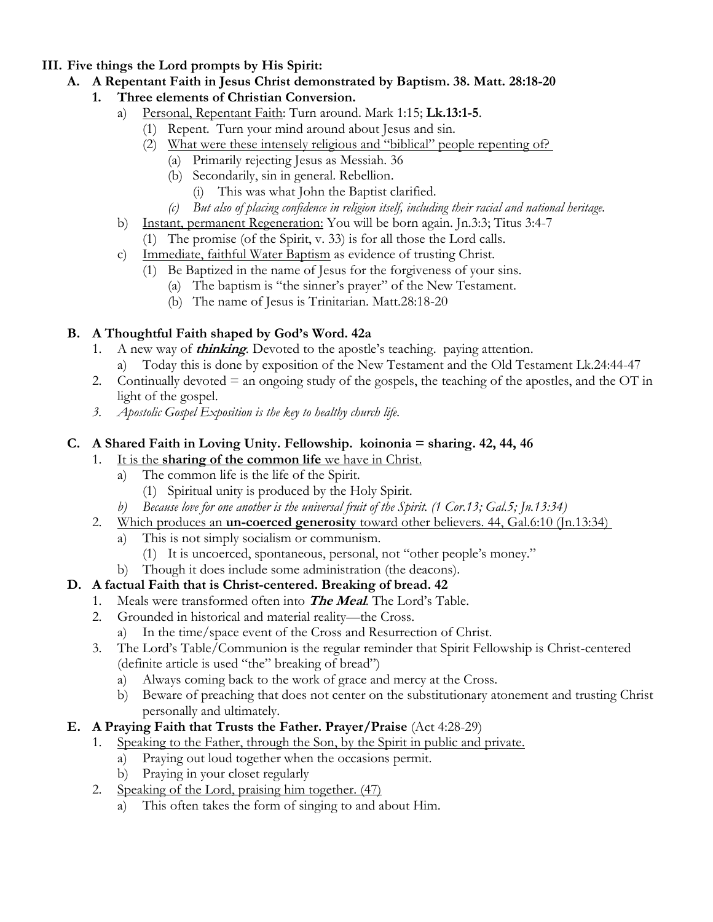#### **III. Five things the Lord prompts by His Spirit:**

- **A. A Repentant Faith in Jesus Christ demonstrated by Baptism. 38. Matt. 28:18-20**
	- **1. Three elements of Christian Conversion.**
		- a) Personal, Repentant Faith: Turn around. Mark 1:15; **Lk.13:1-5**.
			- (1) Repent. Turn your mind around about Jesus and sin.
			- (2) What were these intensely religious and "biblical" people repenting of?
				- (a) Primarily rejecting Jesus as Messiah. 36
				- (b) Secondarily, sin in general. Rebellion.
					- (i) This was what John the Baptist clarified.
				- *(c) But also of placing confidence in religion itself, including their racial and national heritage.*
		- b) Instant, permanent Regeneration: You will be born again. Jn.3:3; Titus 3:4-7
			- (1) The promise (of the Spirit, v. 33) is for all those the Lord calls.
		- c) Immediate, faithful Water Baptism as evidence of trusting Christ.
			- (1) Be Baptized in the name of Jesus for the forgiveness of your sins.
				- (a) The baptism is "the sinner's prayer" of the New Testament.
				- (b) The name of Jesus is Trinitarian. Matt.28:18-20

## **B. A Thoughtful Faith shaped by God's Word. 42a**

- 1. A new way of **thinking**. Devoted to the apostle's teaching. paying attention.
	- a) Today this is done by exposition of the New Testament and the Old Testament Lk.24:44-47
- 2. Continually devoted = an ongoing study of the gospels, the teaching of the apostles, and the OT in light of the gospel.
- *3. Apostolic Gospel Exposition is the key to healthy church life.*

## **C. A Shared Faith in Loving Unity. Fellowship. koinonia = sharing. 42, 44, 46**

- 1. It is the **sharing of the common life** we have in Christ.
	- a) The common life is the life of the Spirit.
		- (1) Spiritual unity is produced by the Holy Spirit.
	- *b) Because love for one another is the universal fruit of the Spirit. (1 Cor.13; Gal.5; Jn.13:34)*
- 2. Which produces an **un-coerced generosity** toward other believers. 44, Gal.6:10 (Jn.13:34)
	- a) This is not simply socialism or communism.
		- (1) It is uncoerced, spontaneous, personal, not "other people's money."
	- b) Though it does include some administration (the deacons).

## **D. A factual Faith that is Christ-centered. Breaking of bread. 42**

- 1. Meals were transformed often into **The Meal**. The Lord's Table.
- 2. Grounded in historical and material reality—the Cross.
	- a) In the time/space event of the Cross and Resurrection of Christ.
- 3. The Lord's Table/Communion is the regular reminder that Spirit Fellowship is Christ-centered (definite article is used "the" breaking of bread")
	- a) Always coming back to the work of grace and mercy at the Cross.
	- b) Beware of preaching that does not center on the substitutionary atonement and trusting Christ personally and ultimately.

## **E. A Praying Faith that Trusts the Father. Prayer/Praise** (Act 4:28-29)

- 1. Speaking to the Father, through the Son, by the Spirit in public and private.
	- a) Praying out loud together when the occasions permit.
	- b) Praying in your closet regularly
- 2. Speaking of the Lord, praising him together. (47)
	- a) This often takes the form of singing to and about Him.